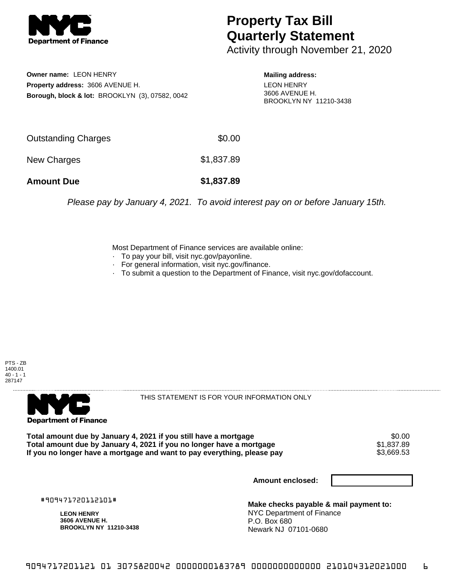

## **Property Tax Bill Quarterly Statement**

Activity through November 21, 2020

**Owner name:** LEON HENRY **Property address:** 3606 AVENUE H. **Borough, block & lot:** BROOKLYN (3), 07582, 0042

**Mailing address:** LEON HENRY 3606 AVENUE H. BROOKLYN NY 11210-3438

| <b>Amount Due</b>   | \$1,837.89 |
|---------------------|------------|
| New Charges         | \$1,837.89 |
| Outstanding Charges | \$0.00     |

Please pay by January 4, 2021. To avoid interest pay on or before January 15th.

Most Department of Finance services are available online:

- · To pay your bill, visit nyc.gov/payonline.
- For general information, visit nyc.gov/finance.
- · To submit a question to the Department of Finance, visit nyc.gov/dofaccount.





THIS STATEMENT IS FOR YOUR INFORMATION ONLY

Total amount due by January 4, 2021 if you still have a mortgage \$0.00<br>Total amount due by January 4, 2021 if you no longer have a mortgage \$1.837.89 **Total amount due by January 4, 2021 if you no longer have a mortgage**  $$1,837.89$ **<br>If you no longer have a mortgage and want to pay everything, please pay**  $$3,669.53$ If you no longer have a mortgage and want to pay everything, please pay

**Amount enclosed:**

#909471720112101#

**LEON HENRY 3606 AVENUE H. BROOKLYN NY 11210-3438**

**Make checks payable & mail payment to:** NYC Department of Finance P.O. Box 680 Newark NJ 07101-0680